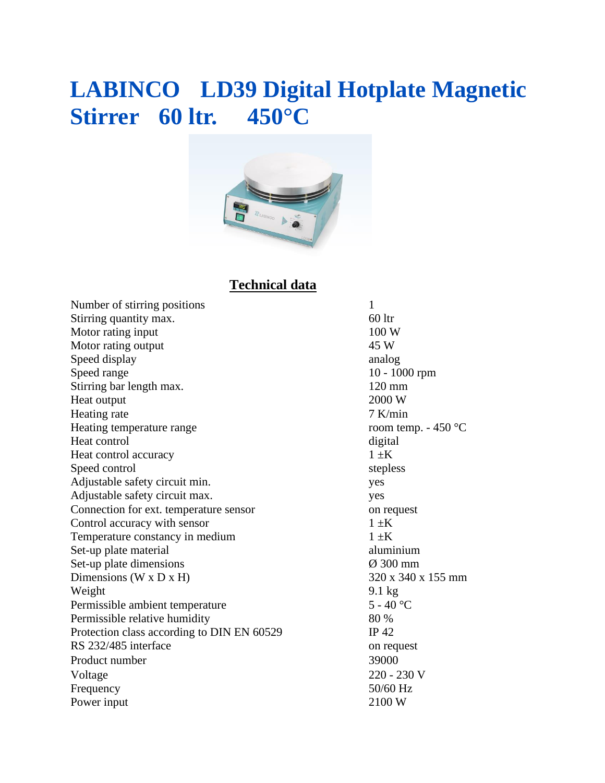## **LABINCO LD39 Digital Hotplate Magnetic Stirrer 60 ltr. 450°C**



### **Technical data**

Number of stirring positions 1 Stirring quantity max. 60 ltr Motor rating input 100 W Motor rating output 45 W Speed display analog analog analog analog analog analog analog analog analog analog analog analog analog analog analog analog analog analog analog analog analog analog analog analog analog analog analog analog analog analo Speed range 10 - 1000 rpm Stirring bar length max. 120 mm Heat output 2000 W Heating rate 7 K/min Heating temperature range room temp. - 450 °C Heat control digital digital Heat control accuracy  $1 \pm K$ Speed control stepless Adjustable safety circuit min. yes Adjustable safety circuit max. yes Connection for ext. temperature sensor on request Control accuracy with sensor  $1 \pm K$ Temperature constancy in medium  $1 \pm K$ Set-up plate material aluminium Set-up plate dimensions  $\emptyset$  300 mm Dimensions (W x D x H)  $320 \times 340 \times 155$  mm Weight 9.1 kg Permissible ambient temperature 5 - 40 °C Permissible relative humidity 80 % Protection class according to DIN EN 60529 IP 42 RS 232/485 interface on request Product number 39000 Voltage 220 - 230 V Frequency 50/60 Hz Power input 2100 W